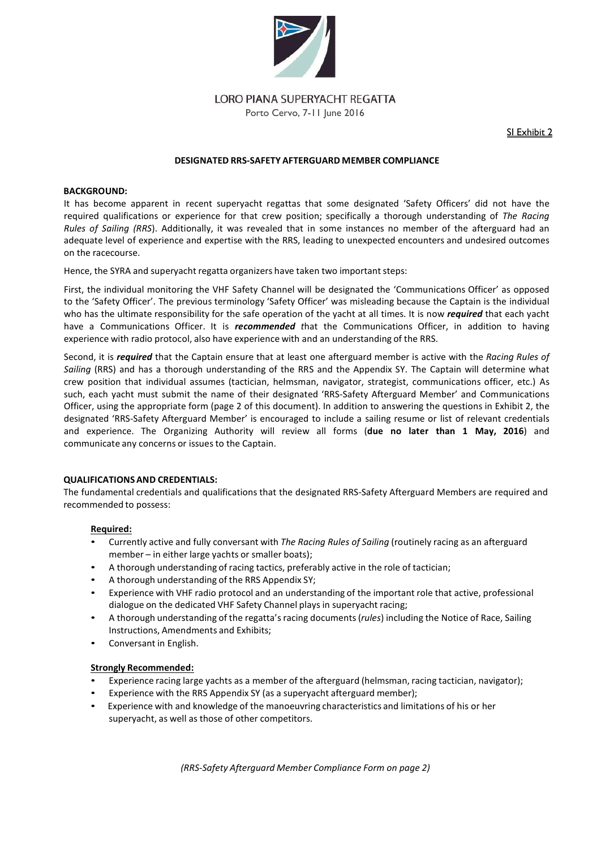

**LORO PIANA SUPERYACHT REGATTA** 

Porto Cervo, 7-11 June 2016

SI Exhibit 2

### **DESIGNATED RRS-SAFETY AFTERGUARD MEMBER COMPLIANCE**

#### **BACKGROUND:**

It has become apparent in recent superyacht regattas that some designated 'Safety Officers' did not have the required qualifications or experience for that crew position; specifically a thorough understanding of *The Racing Rules of Sailing (RRS*). Additionally, it was revealed that in some instances no member of the afterguard had an adequate level of experience and expertise with the RRS, leading to unexpected encounters and undesired outcomes on the racecourse.

Hence, the SYRA and superyacht regatta organizers have taken two important steps:

First, the individual monitoring the VHF Safety Channel will be designated the 'Communications Officer' as opposed to the 'Safety Officer'. The previous terminology 'Safety Officer' was misleading because the Captain is the individual who has the ultimate responsibility for the safe operation of the yacht at all times. It is now *required* that each yacht have a Communications Officer. It is *recommended t*hat the Communications Officer, in addition to having experience with radio protocol, also have experience with and an understanding of the RRS.

Second, it is *required* that the Captain ensure that at least one afterguard member is active with the *Racing Rules of Sailing* (RRS) and has a thorough understanding of the RRS and the Appendix SY. The Captain will determine what crew position that individual assumes (tactician, helmsman, navigator, strategist, communications officer, etc.) As such, each yacht must submit the name of their designated 'RRS-Safety Afterguard Member' and Communications Officer, using the appropriate form (page 2 of this document). In addition to answering the questions in Exhibit 2, the designated 'RRS-Safety Afterguard Member' is encouraged to include a sailing resume or list of relevant credentials and experience. The Organizing Authority will review all forms (**due no later than 1 May, 2016**) and communicate any concerns or issues to the Captain.

## **QUALIFICATIONS AND CREDENTIALS:**

The fundamental credentials and qualifications that the designated RRS-Safety Afterguard Members are required and recommended to possess:

## **Required:**

- Currently active and fully conversant with *The Racing Rules of Sailing* (routinely racing as an afterguard member – in either large yachts or smaller boats);
- A thorough understanding of racing tactics, preferably active in the role of tactician;
- A thorough understanding of the RRS Appendix SY;
- Experience with VHF radio protocol and an understanding of the important role that active, professional dialogue on the dedicated VHF Safety Channel plays in superyacht racing;
- A thorough understanding of the regatta'sracing documents(*rules*) including the Notice of Race, Sailing Instructions, Amendments and Exhibits;
- Conversant in English.

#### **Strongly Recommended:**

- Experience racing large yachts as a member of the afterguard (helmsman, racing tactician, navigator);
- Experience with the RRS Appendix SY (as a superyacht afterguard member);
- Experience with and knowledge of the manoeuvring characteristics and limitations of his or her superyacht, as well as those of other competitors.

*(RRS-Safety Afterguard Member Compliance Form on page 2)*